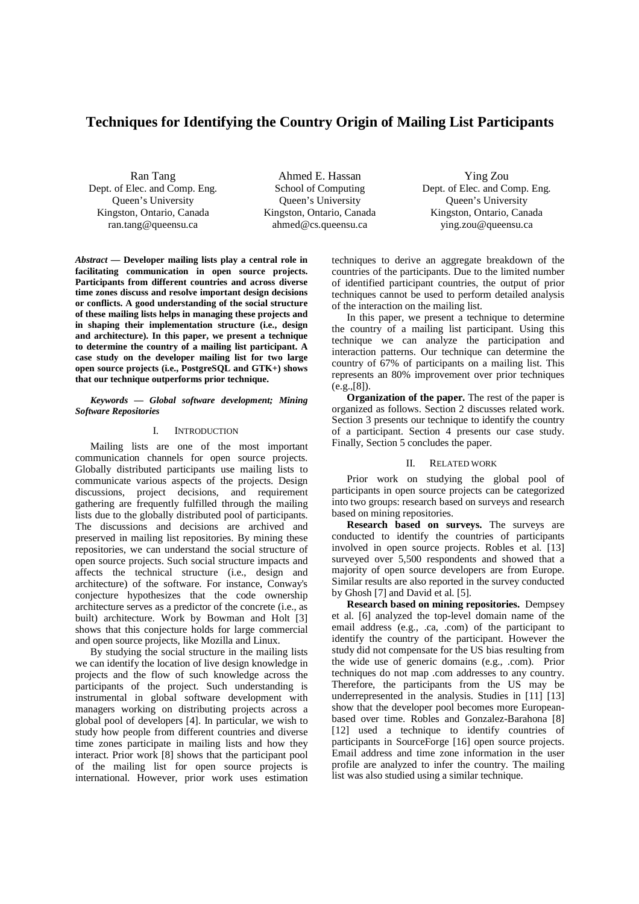# **Techniques for Identifying the Country Origin of Mailing List Participants**

Ran Tang Dept. of Elec. and Comp. Eng. Queen's University Kingston, Ontario, Canada ran.tang@queensu.ca

Ahmed E. Hassan School of Computing Queen's University Kingston, Ontario, Canada ahmed@cs.queensu.ca

Ying Zou Dept. of Elec. and Comp. Eng. Queen's University Kingston, Ontario, Canada ying.zou@queensu.ca

*Abstract* **— Developer mailing lists play a central role in facilitating communication in open source projects. Participants from different countries and across diverse time zones discuss and resolve important design decisions or conflicts. A good understanding of the social structure of these mailing lists helps in managing these projects and in shaping their implementation structure (i.e., design and architecture). In this paper, we present a technique to determine the country of a mailing list participant. A case study on the developer mailing list for two large open source projects (i.e., PostgreSQL and GTK+) shows that our technique outperforms prior technique.** 

#### *Keywords — Global software development; Mining Software Repositories*

#### I. INTRODUCTION

Mailing lists are one of the most important communication channels for open source projects. Globally distributed participants use mailing lists to communicate various aspects of the projects. Design discussions, project decisions, and requirement gathering are frequently fulfilled through the mailing lists due to the globally distributed pool of participants. The discussions and decisions are archived and preserved in mailing list repositories. By mining these repositories, we can understand the social structure of open source projects. Such social structure impacts and affects the technical structure (i.e., design and architecture) of the software. For instance, Conway's conjecture hypothesizes that the code ownership architecture serves as a predictor of the concrete (i.e., as built) architecture. Work by Bowman and Holt [3] shows that this conjecture holds for large commercial and open source projects, like Mozilla and Linux.

By studying the social structure in the mailing lists we can identify the location of live design knowledge in projects and the flow of such knowledge across the participants of the project. Such understanding is instrumental in global software development with managers working on distributing projects across a global pool of developers [4]. In particular, we wish to study how people from different countries and diverse time zones participate in mailing lists and how they interact. Prior work [8] shows that the participant pool of the mailing list for open source projects is international. However, prior work uses estimation techniques to derive an aggregate breakdown of the countries of the participants. Due to the limited number of identified participant countries, the output of prior techniques cannot be used to perform detailed analysis of the interaction on the mailing list.

In this paper, we present a technique to determine the country of a mailing list participant. Using this technique we can analyze the participation and interaction patterns. Our technique can determine the country of 67% of participants on a mailing list. This represents an 80% improvement over prior techniques (e.g.,[8]).

**Organization of the paper.** The rest of the paper is organized as follows. Section 2 discusses related work. Section 3 presents our technique to identify the country of a participant. Section 4 presents our case study. Finally, Section 5 concludes the paper.

## II. RELATED WORK

Prior work on studying the global pool of participants in open source projects can be categorized into two groups: research based on surveys and research based on mining repositories.

**Research based on surveys.** The surveys are conducted to identify the countries of participants involved in open source projects. Robles et al. [13] surveyed over 5,500 respondents and showed that a majority of open source developers are from Europe. Similar results are also reported in the survey conducted by Ghosh [7] and David et al. [5].

**Research based on mining repositories.** Dempsey et al. [6] analyzed the top-level domain name of the email address (e.g., .ca, .com) of the participant to identify the country of the participant. However the study did not compensate for the US bias resulting from the wide use of generic domains (e.g., .com). Prior techniques do not map .com addresses to any country. Therefore, the participants from the US may be underrepresented in the analysis. Studies in [11] [13] show that the developer pool becomes more Europeanbased over time. Robles and Gonzalez-Barahona [8] [12] used a technique to identify countries of participants in SourceForge [16] open source projects. Email address and time zone information in the user profile are analyzed to infer the country. The mailing list was also studied using a similar technique.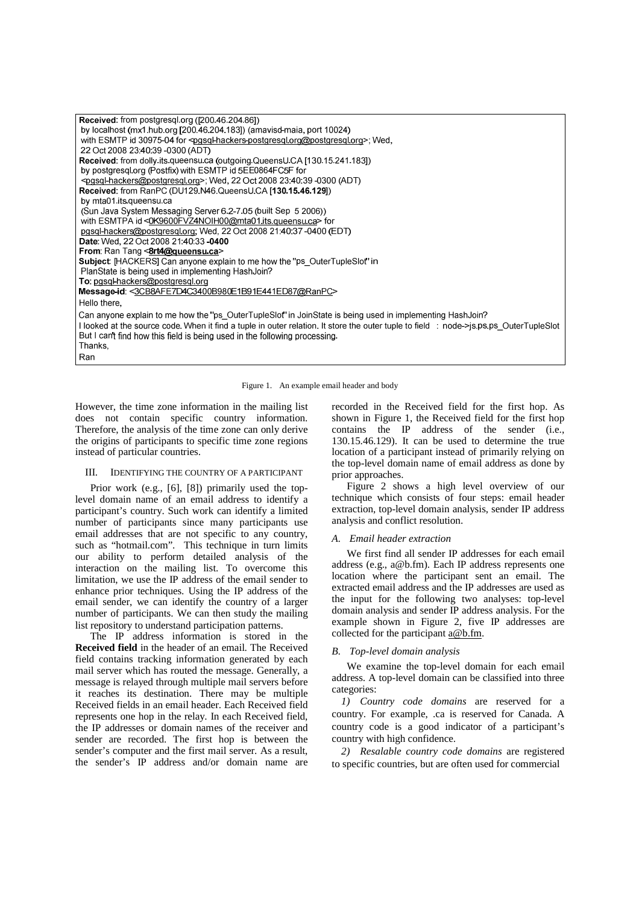| Received. from postgresgl.org ([200.46.204.86])                                                                                        |
|----------------------------------------------------------------------------------------------------------------------------------------|
| by localhost (mx1.hub.org [200.46.204.183]) (amavisd-maia, port 10024)                                                                 |
| with ESMTP id 30975-04 for <pgsql-hackers-postgresql.org@postgresql.org>; Wed.</pgsql-hackers-postgresql.org@postgresql.org>           |
| 22 Oct 2008 23 40 39 -0300 (ADT)                                                                                                       |
| Received: from dolly.its.queensu.ca (outgoing.QueensU.CA [130.15.241.183])                                                             |
| by postgresgl.org (Postfix) with ESMTP id 5EE0864FC5F for                                                                              |
| <pgsql-hackers@postgresql.org>; Wed, 22 Oct 2008 23:40:39 -0300 (ADT)</pgsql-hackers@postgresql.org>                                   |
| Received. from RanPC (DU129.N46 QueensU.CA [130.15.46.129])                                                                            |
| by mta01.its.queensu.ca                                                                                                                |
| (Sun Java System Messaging Server 6.2-7.05 (built Sep 5 2006))                                                                         |
| with ESMTPA id <0K9600FVZ4NOIH00@mta01.its.queensu.ca> for                                                                             |
| pgsgl-hackers@postgresgl.org, Wed, 22 Oct 2008 21:40:37 -0400 (EDT)                                                                    |
| <b>Date:</b> Wed, 22 Oct 2008 21 40 33 <b>-0400</b>                                                                                    |
| From: Ran Tang <8rt4@queensu.ca>                                                                                                       |
| <b>Subject:</b> [HACKERS] Can anyone explain to me how the "ps OuterTupleSlot" in                                                      |
| PlanState is being used in implementing HashJoin?                                                                                      |
| To. pgsgl-hackers@postgresgl.org                                                                                                       |
| Message-id. <3CB8AFE7D4C3400B980E1B91E441ED87@RanPC>                                                                                   |
| Hello there.                                                                                                                           |
| Can anyone explain to me how the "ps OuterTupleSlot" in JoinState is being used in implementing HashJoin?                              |
| I looked at the source code. When it find a tuple in outer relation. It store the outer tuple to field : node->js.ps.ps OuterTupleSlot |
| But I can't find how this field is being used in the following processing.                                                             |
| Thanks,                                                                                                                                |
| Ran                                                                                                                                    |

Figure 1. An example email header and body

However, the time zone information in the mailing list does not contain specific country information. Therefore, the analysis of the time zone can only derive the origins of participants to specific time zone regions instead of particular countries.

#### III. IDENTIFYING THE COUNTRY OF A PARTICIPANT

Prior work (e.g., [6], [8]) primarily used the toplevel domain name of an email address to identify a participant's country. Such work can identify a limited number of participants since many participants use email addresses that are not specific to any country, such as "hotmail.com". This technique in turn limits our ability to perform detailed analysis of the interaction on the mailing list. To overcome this limitation, we use the IP address of the email sender to enhance prior techniques. Using the IP address of the email sender, we can identify the country of a larger number of participants. We can then study the mailing list repository to understand participation patterns.

The IP address information is stored in the **Received field** in the header of an email. The Received field contains tracking information generated by each mail server which has routed the message. Generally, a message is relayed through multiple mail servers before it reaches its destination. There may be multiple Received fields in an email header. Each Received field represents one hop in the relay. In each Received field, the IP addresses or domain names of the receiver and sender are recorded. The first hop is between the sender's computer and the first mail server. As a result, the sender's IP address and/or domain name are recorded in the Received field for the first hop. As shown in Figure 1, the Received field for the first hop contains the IP address of the sender (i.e., 130.15.46.129). It can be used to determine the true location of a participant instead of primarily relying on the top-level domain name of email address as done by prior approaches.

Figure 2 shows a high level overview of our technique which consists of four steps: email header extraction, top-level domain analysis, sender IP address analysis and conflict resolution.

# *A. Email header extraction*

We first find all sender IP addresses for each email address (e.g., a@b.fm). Each IP address represents one location where the participant sent an email. The extracted email address and the IP addresses are used as the input for the following two analyses: top-level domain analysis and sender IP address analysis. For the example shown in Figure 2, five IP addresses are collected for the participant a@b.fm.

# *B. Top-level domain analysis*

We examine the top-level domain for each email address. A top-level domain can be classified into three categories:

*1) Country code domains* are reserved for a country. For example, .ca is reserved for Canada. A country code is a good indicator of a participant's country with high confidence.

*2) Resalable country code domains* are registered to specific countries, but are often used for commercial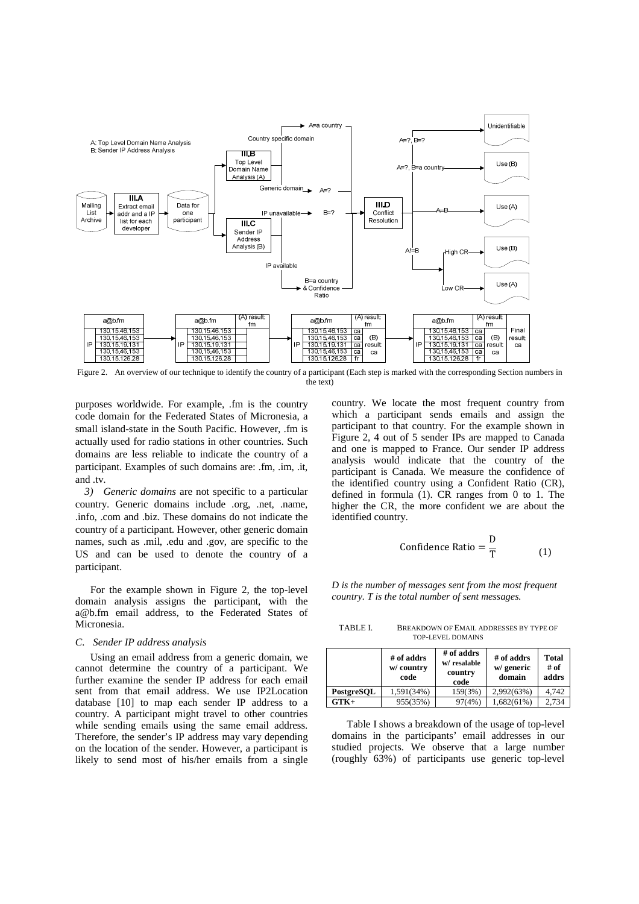

Figure 2. An overview of our technique to identify the country of a participant (Each step is marked with the corresponding Section numbers in the text)

purposes worldwide. For example, .fm is the country code domain for the Federated States of Micronesia, a small island-state in the South Pacific. However, .fm is actually used for radio stations in other countries. Such domains are less reliable to indicate the country of a participant. Examples of such domains are: .fm, .im, .it, and .tv.

*3) Generic domains* are not specific to a particular country. Generic domains include .org, .net, .name, .info, .com and .biz. These domains do not indicate the country of a participant. However, other generic domain names, such as .mil, .edu and .gov, are specific to the US and can be used to denote the country of a participant.

For the example shown in Figure 2, the top-level domain analysis assigns the participant, with the a@b.fm email address, to the Federated States of Micronesia.

#### *C. Sender IP address analysis*

Using an email address from a generic domain, we cannot determine the country of a participant. We further examine the sender IP address for each email sent from that email address. We use IP2Location database [10] to map each sender IP address to a country. A participant might travel to other countries while sending emails using the same email address. Therefore, the sender's IP address may vary depending on the location of the sender. However, a participant is likely to send most of his/her emails from a single country. We locate the most frequent country from which a participant sends emails and assign the participant to that country. For the example shown in Figure 2, 4 out of 5 sender IPs are mapped to Canada and one is mapped to France. Our sender IP address analysis would indicate that the country of the participant is Canada. We measure the confidence of the identified country using a Confident Ratio (CR), defined in formula (1). CR ranges from 0 to 1. The higher the CR, the more confident we are about the identified country.

Confidence Ratio = 
$$
\frac{D}{T}
$$
 (1)

*D is the number of messages sent from the most frequent country. T is the total number of sent messages.* 

TABLE I. BREAKDOWN OF EMAIL ADDRESSES BY TYPE OF TOP-LEVEL DOMAINS

|            | # of addrs<br>w/ country<br>code | $#$ of addrs<br>w/resalable<br>country<br>code | # of addrs<br>w/ generic<br>domain | Total<br># of<br>addrs |
|------------|----------------------------------|------------------------------------------------|------------------------------------|------------------------|
| PostgreSQL | 1,591(34%)                       | 159(3%)                                        | 2,992(63%)                         | 4.742                  |
| $GTK+$     | 955(35%)                         | 97(4%)                                         | 1,682(61%)                         | 2.734                  |

Table I shows a breakdown of the usage of top-level domains in the participants' email addresses in our studied projects. We observe that a large number (roughly 63%) of participants use generic top-level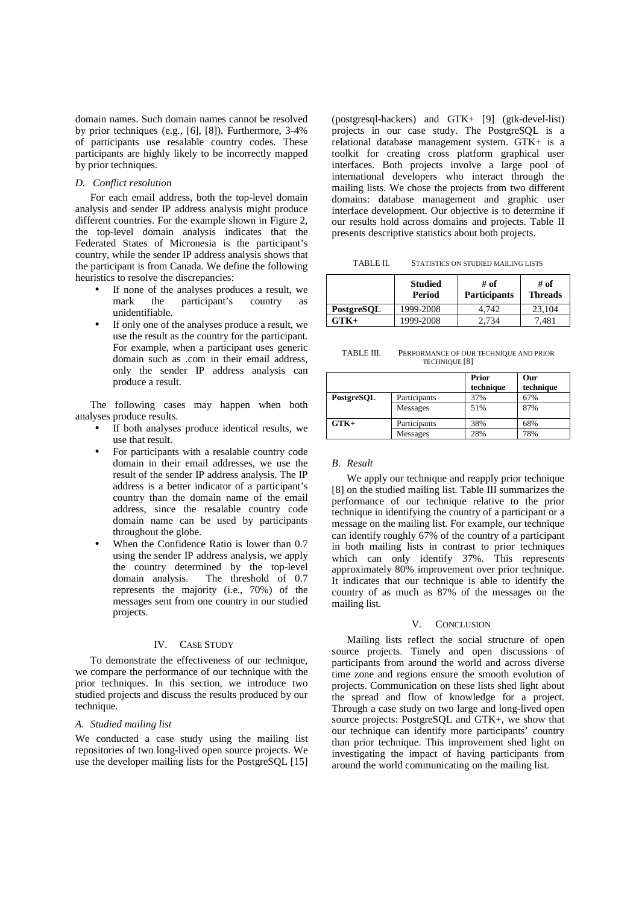domain names. Such domain names cannot be resolved by prior techniques (e.g., [6], [8]). Furthermore, 3-4% of participants use resalable country codes. These participants are highly likely to be incorrectly mapped by prior techniques.

# *D. Conflict resolution*

For each email address, both the top-level domain analysis and sender IP address analysis might produce different countries. For the example shown in Figure 2. the top-level domain analysis indicates that the Federated States of Micronesia is the participant's country, while the sender IP address analysis shows that the participant is from Canada. We define the following heuristics to resolve the discrepancies:

- If none of the analyses produces a result, we mark the participant's country as participant's country as unidentifiable.
- If only one of the analyses produce a result, we use the result as the country for the participant. For example, when a participant uses generic domain such as .com in their email address, only the sender IP address analysis can produce a result.

The following cases may happen when both analyses produce results.

- If both analyses produce identical results, we use that result.
- For participants with a resalable country code domain in their email addresses, we use the result of the sender IP address analysis. The IP address is a better indicator of a participant's country than the domain name of the email address, since the resalable country code domain name can be used by participants throughout the globe.
- When the Confidence Ratio is lower than 0.7 using the sender IP address analysis, we apply the country determined by the top-level domain analysis. The threshold of 0.7 represents the majority (i.e., 70%) of the messages sent from one country in our studied projects.

### IV. CASE STUDY

To demonstrate the effectiveness of our technique, we compare the performance of our technique with the prior techniques. In this section, we introduce two studied projects and discuss the results produced by our technique.

#### *A. Studied mailing list*

We conducted a case study using the mailing list repositories of two long-lived open source projects. We use the developer mailing lists for the PostgreSQL [15]

(postgresql-hackers) and GTK+ [9] (gtk-devel-list) projects in our case study. The PostgreSQL is a relational database management system. GTK+ is a toolkit for creating cross platform graphical user interfaces. Both projects involve a large pool of international developers who interact through the mailing lists. We chose the projects from two different domains: database management and graphic user interface development. Our objective is to determine if our results hold across domains and projects. Table II presents descriptive statistics about both projects.

| TABLE II.<br>STATISTICS ON STUDIED MAILING LISTS |
|--------------------------------------------------|
|--------------------------------------------------|

|            | <b>Studied</b><br>Period | # of<br><b>Participants</b> | # of<br><b>Threads</b> |
|------------|--------------------------|-----------------------------|------------------------|
| PostgreSQL | 1999-2008                | 4.742                       | 23.104                 |
| $GTK+$     | 1999-2008                | 2.734                       | 7.481                  |

TABLE III. PERFORMANCE OF OUR TECHNIQUE AND PRIOR TECHNIQUE [8]

|            |                 | Prior<br>technique | Our<br>technique |
|------------|-----------------|--------------------|------------------|
| PostgreSQL | Participants    | 37%                | 67%              |
|            | <b>Messages</b> | 51%                | 87%              |
| $GTK+$     | Participants    | 38%                | 68%              |
|            | <b>Messages</b> | 28%                | 78%              |

#### *B. Result*

We apply our technique and reapply prior technique [8] on the studied mailing list. Table III summarizes the performance of our technique relative to the prior technique in identifying the country of a participant or a message on the mailing list. For example, our technique can identify roughly 67% of the country of a participant in both mailing lists in contrast to prior techniques which can only identify 37%. This represents approximately 80% improvement over prior technique. It indicates that our technique is able to identify the country of as much as 87% of the messages on the mailing list.

#### V. CONCLUSION

Mailing lists reflect the social structure of open source projects. Timely and open discussions of participants from around the world and across diverse time zone and regions ensure the smooth evolution of projects. Communication on these lists shed light about the spread and flow of knowledge for a project. Through a case study on two large and long-lived open source projects: PostgreSQL and GTK+, we show that our technique can identify more participants' country than prior technique. This improvement shed light on investigating the impact of having participants from around the world communicating on the mailing list.